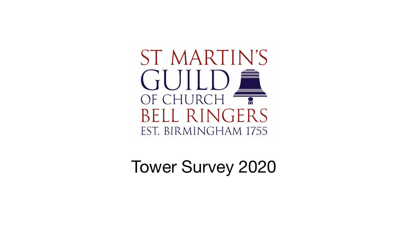

Tower Survey 2020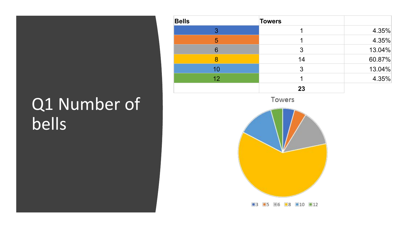## Q1 Number of bells

| <b>Bells</b>    | <b>Towers</b> |        |
|-----------------|---------------|--------|
| 3               |               | 4.35%  |
| 5               |               | 4.35%  |
| 6               | 3             | 13.04% |
| 8               | 14            | 60.87% |
| 10              | 3             | 13.04% |
| 12 <sub>2</sub> |               | 4.35%  |
|                 | 23            |        |

Towers

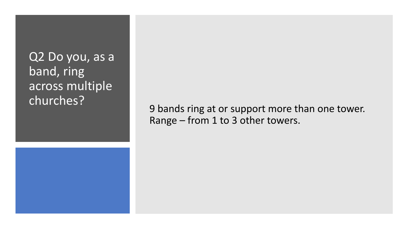## Q2 Do you, as a band, ring across multiple

churches?<br>
9 bands ring at or support more than one tower. Range – from 1 to 3 other towers.

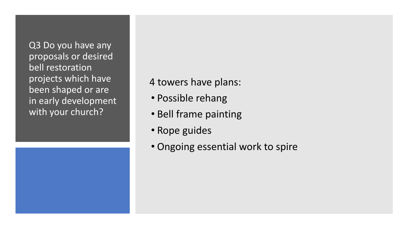Q3 Do you have any proposals or desired bell restoration projects which have been shaped or are in early development with your church?



#### 4 towers have plans:

- Possible rehang
- Bell frame painting
- Rope guides
- Ongoing essential work to spire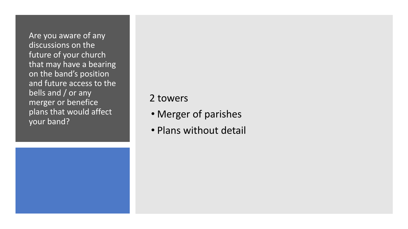Are you aware of any discussions on the future of your church that may have a bearing on the band's position and future access to the bells and / or any merger or benefice plans that would affect your band?

### 2 towers

- Merger of parishes
- Plans without detail

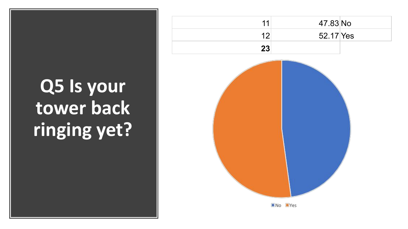# **Q5 Is your tower back ringing yet?**

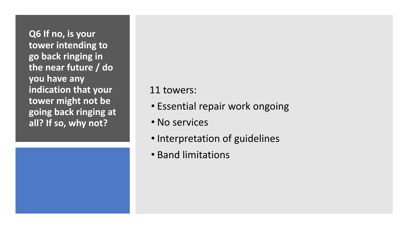**Q6 If no, is your tower intending to go back ringing in the near future / do you have any indication that your tower might not be going back ringing at all? If so, why not?**

11 towers:

- Essential repair work ongoing
- No services
- Interpretation of guidelines
- Band limitations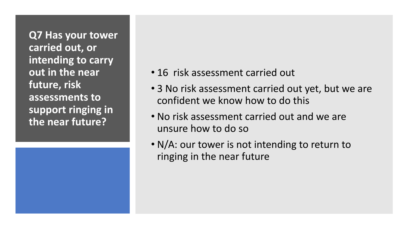**Q7 Has your tower carried out, or intending to carry out in the near future, risk assessments to support ringing in the near future?**



- 16 risk assessment carried out
- 3 No risk assessment carried out yet, but we are confident we know how to do this
- No risk assessment carried out and we are unsure how to do so
- N/A: our tower is not intending to return to ringing in the near future